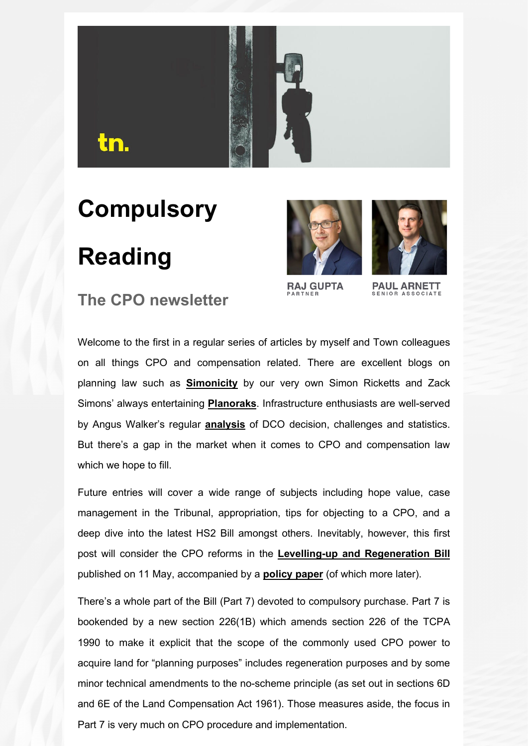

# **Compulsory Reading**





**RAJ GUPTA** 

**PAUL ARNETT** SENIOR ASSOCIATE

#### **The CPO newsletter**

Welcome to the first in a regular series of articles by myself and Town colleagues on all things CPO and compensation related. There are excellent blogs on planning law such as **[Simonicity](https://eur02.safelinks.protection.outlook.com/?url=https%3A%2F%2Fprotect-eu.mimecast.com%2Fs%2F4d0XC81l1ujqB4Hl19gq%3Fdomain%3Dd305dv04.eu1.hubspotlinksfree.com&data=05%7C01%7Coliver.pickett%40townlegal.com%7Cf0fea402137f4e17431008da343650d4%7C8d4ddfa418e9482e9bce7a54cdd600c1%7C1%7C0%7C637879705130959351%7CUnknown%7CTWFpbGZsb3d8eyJWIjoiMC4wLjAwMDAiLCJQIjoiV2luMzIiLCJBTiI6Ik1haWwiLCJXVCI6Mn0%3D%7C3000%7C%7C%7C&sdata=%2BPU0HIyK4ud5QnP7L1SgjXY35HZdACFM2GgDjJEKARI%3D&reserved=0)** by our very own Simon Ricketts and Zack Simons' always entertaining **[Planoraks](https://eur02.safelinks.protection.outlook.com/?url=https%3A%2F%2Fprotect-eu.mimecast.com%2Fs%2F4YKMC91m1umqr7hVsncw%3Fdomain%3Dd305dv04.eu1.hubspotlinksfree.com&data=05%7C01%7Coliver.pickett%40townlegal.com%7Cf0fea402137f4e17431008da343650d4%7C8d4ddfa418e9482e9bce7a54cdd600c1%7C1%7C0%7C637879705130959351%7CUnknown%7CTWFpbGZsb3d8eyJWIjoiMC4wLjAwMDAiLCJQIjoiV2luMzIiLCJBTiI6Ik1haWwiLCJXVCI6Mn0%3D%7C3000%7C%7C%7C&sdata=7%2Fqep%2BIGHzB931uBvsxLAKhzjgd2gviPn3KcJzp1gRg%3D&reserved=0)**. Infrastructure enthusiasts are well-served by Angus Walker's regular **[analysis](https://eur02.safelinks.protection.outlook.com/?url=https%3A%2F%2Fprotect-eu.mimecast.com%2Fs%2FFWFcC0YBYS2BYPT83qQ2%3Fdomain%3Dd305dv04.eu1.hubspotlinksfree.com&data=05%7C01%7Coliver.pickett%40townlegal.com%7Cf0fea402137f4e17431008da343650d4%7C8d4ddfa418e9482e9bce7a54cdd600c1%7C1%7C0%7C637879705130959351%7CUnknown%7CTWFpbGZsb3d8eyJWIjoiMC4wLjAwMDAiLCJQIjoiV2luMzIiLCJBTiI6Ik1haWwiLCJXVCI6Mn0%3D%7C3000%7C%7C%7C&sdata=uJ6R0VTinEpJyilZAW2aP913sP3hskoHJmwDXsUco88%3D&reserved=0)** of DCO decision, challenges and statistics. But there's a gap in the market when it comes to CPO and compensation law which we hope to fill.

Future entries will cover a wide range of subjects including hope value, case management in the Tribunal, appropriation, tips for objecting to a CPO, and a deep dive into the latest HS2 Bill amongst others. Inevitably, however, this first post will consider the CPO reforms in the **[Levelling-up and Regeneration Bill](https://eur02.safelinks.protection.outlook.com/?url=https%3A%2F%2Fprotect-eu.mimecast.com%2Fs%2FnCeUCgZPZsly4Qt5AsJk%3Fdomain%3Dd305dv04.eu1.hubspotlinksfree.com&data=05%7C01%7Coliver.pickett%40townlegal.com%7Cf0fea402137f4e17431008da343650d4%7C8d4ddfa418e9482e9bce7a54cdd600c1%7C1%7C0%7C637879705130959351%7CUnknown%7CTWFpbGZsb3d8eyJWIjoiMC4wLjAwMDAiLCJQIjoiV2luMzIiLCJBTiI6Ik1haWwiLCJXVCI6Mn0%3D%7C3000%7C%7C%7C&sdata=GcngHe03MzuG4b5OfFyuJBH3Z239jFl03t13ApCjn%2F0%3D&reserved=0)** published on 11 May, accompanied by a **[policy paper](https://eur02.safelinks.protection.outlook.com/?url=https%3A%2F%2Fprotect-eu.mimecast.com%2Fs%2FX_fdCjZPZsjmZNHq2uSM%3Fdomain%3Dd305dv04.eu1.hubspotlinksfree.com&data=05%7C01%7Coliver.pickett%40townlegal.com%7Cf0fea402137f4e17431008da343650d4%7C8d4ddfa418e9482e9bce7a54cdd600c1%7C1%7C0%7C637879705130959351%7CUnknown%7CTWFpbGZsb3d8eyJWIjoiMC4wLjAwMDAiLCJQIjoiV2luMzIiLCJBTiI6Ik1haWwiLCJXVCI6Mn0%3D%7C3000%7C%7C%7C&sdata=3ds0mB9eVeW5bYu1%2BTr4qq8K08S4BujbBZPuTPC0t%2B4%3D&reserved=0)** (of which more later).

There's a whole part of the Bill (Part 7) devoted to compulsory purchase. Part 7 is bookended by a new section 226(1B) which amends section 226 of the TCPA 1990 to make it explicit that the scope of the commonly used CPO power to acquire land for "planning purposes" includes regeneration purposes and by some minor technical amendments to the no-scheme principle (as set out in sections 6D and 6E of the Land Compensation Act 1961). Those measures aside, the focus in Part 7 is very much on CPO procedure and implementation.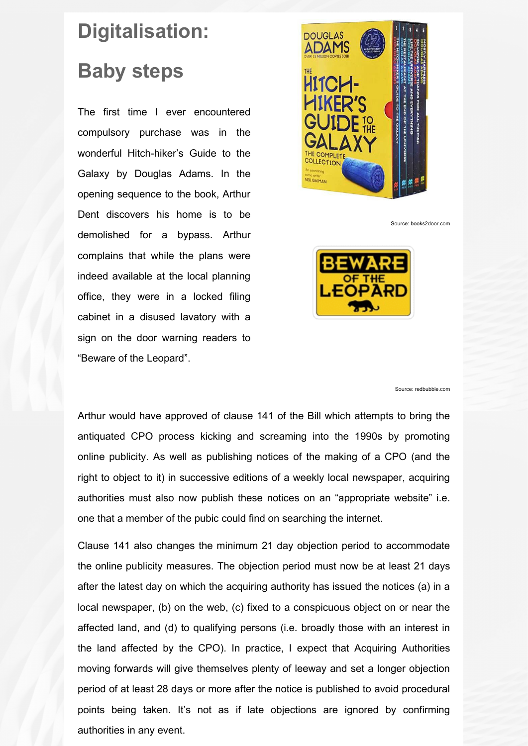## **Digitalisation: Baby steps**

The first time I ever encountered compulsory purchase was in the wonderful Hitch-hiker's Guide to the Galaxy by Douglas Adams. In the opening sequence to the book, Arthur Dent discovers his home is to be demolished for a bypass. Arthur complains that while the plans were indeed available at the local planning office, they were in a locked filing cabinet in a disused lavatory with a sign on the door warning readers to "Beware of the Leopard".



Source: books2door.com



Source: redbubble.com

Arthur would have approved of clause 141 of the Bill which attempts to bring the antiquated CPO process kicking and screaming into the 1990s by promoting online publicity. As well as publishing notices of the making of a CPO (and the right to object to it) in successive editions of a weekly local newspaper, acquiring authorities must also now publish these notices on an "appropriate website" i.e. one that a member of the pubic could find on searching the internet.

Clause 141 also changes the minimum 21 day objection period to accommodate the online publicity measures. The objection period must now be at least 21 days after the latest day on which the acquiring authority has issued the notices (a) in a local newspaper, (b) on the web, (c) fixed to a conspicuous object on or near the affected land, and (d) to qualifying persons (i.e. broadly those with an interest in the land affected by the CPO). In practice, I expect that Acquiring Authorities moving forwards will give themselves plenty of leeway and set a longer objection period of at least 28 days or more after the notice is published to avoid procedural points being taken. It's not as if late objections are ignored by confirming authorities in any event.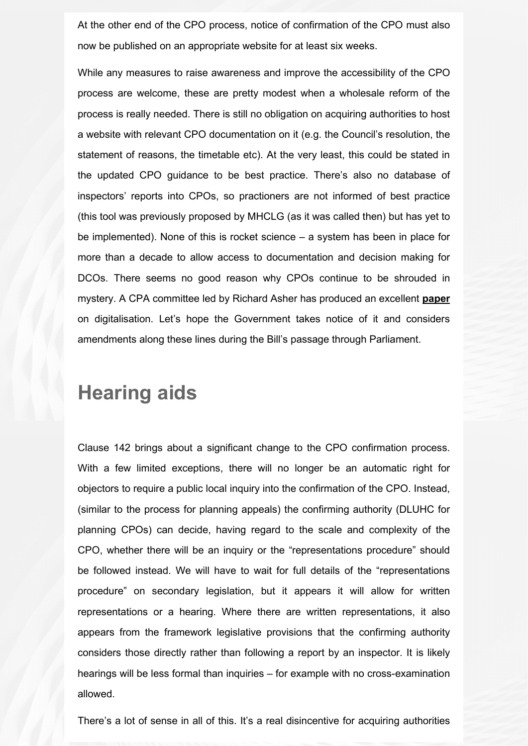At the other end of the CPO process, notice of confirmation of the CPO must also now be published on an appropriate website for at least six weeks.

While any measures to raise awareness and improve the accessibility of the CPO process are welcome, these are pretty modest when a wholesale reform of the process is really needed. There is still no obligation on acquiring authorities to host a website with relevant CPO documentation on it (e.g. the Council's resolution, the statement of reasons, the timetable etc). At the very least, this could be stated in the updated CPO guidance to be best practice. There's also no database of inspectors' reports into CPOs, so practioners are not informed of best practice (this tool was previously proposed by MHCLG (as it was called then) but has yet to be implemented). None of this is rocket science – a system has been in place for more than a decade to allow access to documentation and decision making for DCOs. There seems no good reason why CPOs continue to be shrouded in mystery. A CPA committee led by Richard Asher has produced an excellent **[paper](https://eur02.safelinks.protection.outlook.com/?url=https%3A%2F%2Fprotect-eu.mimecast.com%2Fs%2Fz6dyCk8P8unBoGHjfCiE%3Fdomain%3Dd305dv04.eu1.hubspotlinksfree.com&data=05%7C01%7Coliver.pickett%40townlegal.com%7Cf0fea402137f4e17431008da343650d4%7C8d4ddfa418e9482e9bce7a54cdd600c1%7C1%7C0%7C637879705130959351%7CUnknown%7CTWFpbGZsb3d8eyJWIjoiMC4wLjAwMDAiLCJQIjoiV2luMzIiLCJBTiI6Ik1haWwiLCJXVCI6Mn0%3D%7C3000%7C%7C%7C&sdata=Xuia28C%2FBZRoCBMQTtfvOXacjaytIiaWFB0nCR%2FQ%2FOw%3D&reserved=0)** on digitalisation. Let's hope the Government takes notice of it and considers amendments along these lines during the Bill's passage through Parliament.

#### **Hearing aids**

Clause 142 brings about a significant change to the CPO confirmation process. With a few limited exceptions, there will no longer be an automatic right for objectors to require a public local inquiry into the confirmation of the CPO. Instead, (similar to the process for planning appeals) the confirming authority (DLUHC for planning CPOs) can decide, having regard to the scale and complexity of the CPO, whether there will be an inquiry or the "representations procedure" should be followed instead. We will have to wait for full details of the "representations procedure" on secondary legislation, but it appears it will allow for written representations or a hearing. Where there are written representations, it also appears from the framework legislative provisions that the confirming authority considers those directly rather than following a report by an inspector. It is likely hearings will be less formal than inquiries – for example with no cross-examination allowed.

There's a lot of sense in all of this. It's a real disincentive for acquiring authorities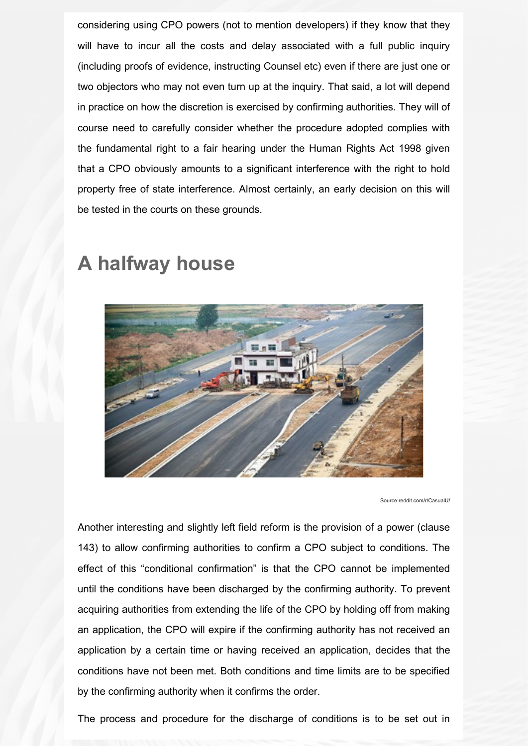considering using CPO powers (not to mention developers) if they know that they will have to incur all the costs and delay associated with a full public inquiry (including proofs of evidence, instructing Counsel etc) even if there are just one or two objectors who may not even turn up at the inquiry. That said, a lot will depend in practice on how the discretion is exercised by confirming authorities. They will of course need to carefully consider whether the procedure adopted complies with the fundamental right to a fair hearing under the Human Rights Act 1998 given that a CPO obviously amounts to a significant interference with the right to hold property free of state interference. Almost certainly, an early decision on this will be tested in the courts on these grounds.

### **A halfway house**



Source:reddit.com/r/CasualU

Another interesting and slightly left field reform is the provision of a power (clause 143) to allow confirming authorities to confirm a CPO subject to conditions. The effect of this "conditional confirmation" is that the CPO cannot be implemented until the conditions have been discharged by the confirming authority. To prevent acquiring authorities from extending the life of the CPO by holding off from making an application, the CPO will expire if the confirming authority has not received an application by a certain time or having received an application, decides that the conditions have not been met. Both conditions and time limits are to be specified by the confirming authority when it confirms the order.

The process and procedure for the discharge of conditions is to be set out in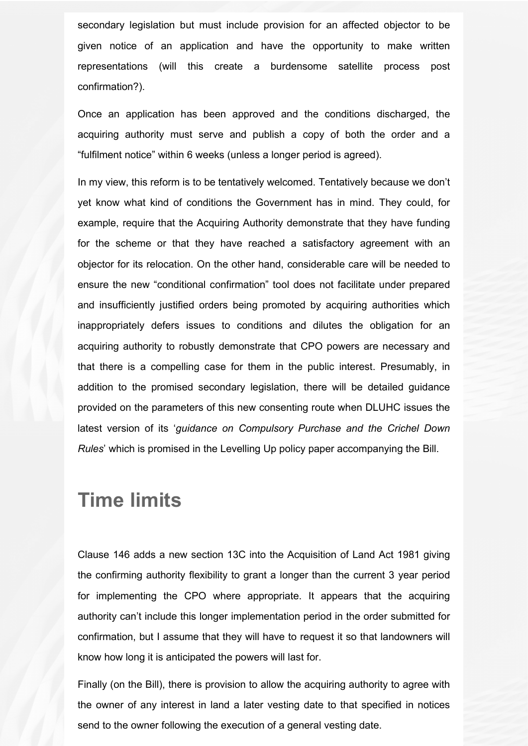secondary legislation but must include provision for an affected objector to be given notice of an application and have the opportunity to make written representations (will this create a burdensome satellite process post confirmation?).

Once an application has been approved and the conditions discharged, the acquiring authority must serve and publish a copy of both the order and a "fulfilment notice" within 6 weeks (unless a longer period is agreed).

In my view, this reform is to be tentatively welcomed. Tentatively because we don't yet know what kind of conditions the Government has in mind. They could, for example, require that the Acquiring Authority demonstrate that they have funding for the scheme or that they have reached a satisfactory agreement with an objector for its relocation. On the other hand, considerable care will be needed to ensure the new "conditional confirmation" tool does not facilitate under prepared and insufficiently justified orders being promoted by acquiring authorities which inappropriately defers issues to conditions and dilutes the obligation for an acquiring authority to robustly demonstrate that CPO powers are necessary and that there is a compelling case for them in the public interest. Presumably, in addition to the promised secondary legislation, there will be detailed guidance provided on the parameters of this new consenting route when DLUHC issues the latest version of its '*guidance on Compulsory Purchase and the Crichel Down Rules*' which is promised in the Levelling Up policy paper accompanying the Bill.

#### **Time limits**

Clause 146 adds a new section 13C into the Acquisition of Land Act 1981 giving the confirming authority flexibility to grant a longer than the current 3 year period for implementing the CPO where appropriate. It appears that the acquiring authority can't include this longer implementation period in the order submitted for confirmation, but I assume that they will have to request it so that landowners will know how long it is anticipated the powers will last for.

Finally (on the Bill), there is provision to allow the acquiring authority to agree with the owner of any interest in land a later vesting date to that specified in notices send to the owner following the execution of a general vesting date.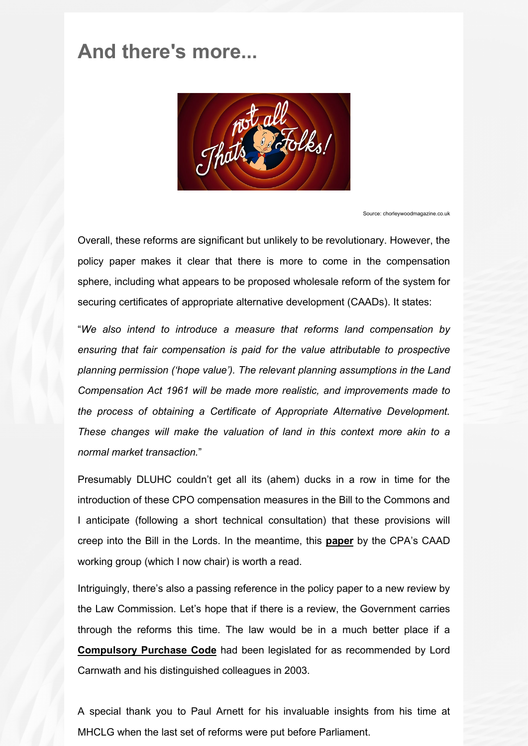#### **And there's more...**



Source: chorleywoodmagazine.co.uk

Overall, these reforms are significant but unlikely to be revolutionary. However, the policy paper makes it clear that there is more to come in the compensation sphere, including what appears to be proposed wholesale reform of the system for securing certificates of appropriate alternative development (CAADs). It states:

"*We also intend to introduce a measure that reforms land compensation by ensuring that fair compensation is paid for the value attributable to prospective planning permission ('hope value'). The relevant planning assumptions in the Land Compensation Act 1961 will be made more realistic, and improvements made to the process of obtaining a Certificate of Appropriate Alternative Development. These changes will make the valuation of land in this context more akin to a normal market transaction.*"

Presumably DLUHC couldn't get all its (ahem) ducks in a row in time for the introduction of these CPO compensation measures in the Bill to the Commons and I anticipate (following a short technical consultation) that these provisions will creep into the Bill in the Lords. In the meantime, this **[paper](https://eur02.safelinks.protection.outlook.com/?url=https%3A%2F%2Fprotect-eu.mimecast.com%2Fs%2F_g46ClxPxsoE64TEhj3p%3Fdomain%3Dd305dv04.eu1.hubspotlinksfree.com&data=05%7C01%7Coliver.pickett%40townlegal.com%7Cf0fea402137f4e17431008da343650d4%7C8d4ddfa418e9482e9bce7a54cdd600c1%7C1%7C0%7C637879705130959351%7CUnknown%7CTWFpbGZsb3d8eyJWIjoiMC4wLjAwMDAiLCJQIjoiV2luMzIiLCJBTiI6Ik1haWwiLCJXVCI6Mn0%3D%7C3000%7C%7C%7C&sdata=F7IGA1QhrNfnoz0%2BCDsgta7F7A%2F0baY%2BWeBwLs9ab64%3D&reserved=0)** by the CPA's CAAD working group (which I now chair) is worth a read.

Intriguingly, there's also a passing reference in the policy paper to a new review by the Law Commission. Let's hope that if there is a review, the Government carries through the reforms this time. The law would be in a much better place if a **[Compulsory Purchase Code](https://eur02.safelinks.protection.outlook.com/?url=https%3A%2F%2Fprotect-eu.mimecast.com%2Fs%2FZWVICmOPOt5lk4FWpzgu%3Fdomain%3Dd305dv04.eu1.hubspotlinksfree.com&data=05%7C01%7Coliver.pickett%40townlegal.com%7Cf0fea402137f4e17431008da343650d4%7C8d4ddfa418e9482e9bce7a54cdd600c1%7C1%7C0%7C637879705130959351%7CUnknown%7CTWFpbGZsb3d8eyJWIjoiMC4wLjAwMDAiLCJQIjoiV2luMzIiLCJBTiI6Ik1haWwiLCJXVCI6Mn0%3D%7C3000%7C%7C%7C&sdata=NdIhH0zsyqswcHr%2FU67FWtQp9ifBSom4TPwIUQXLW9s%3D&reserved=0)** had been legislated for as recommended by Lord Carnwath and his distinguished colleagues in 2003.

A special thank you to Paul Arnett for his invaluable insights from his time at MHCLG when the last set of reforms were put before Parliament.